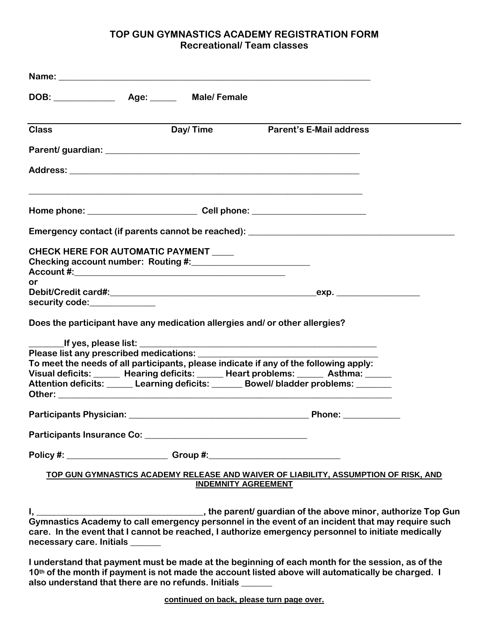## **TOP GUN GYMNASTICS ACADEMY REGISTRATION FORM Recreational/ Team classes**

| <b>Class</b>                            | Day/Time                   | <b>Parent's E-Mail address</b>                                                                                                                                                                            |
|-----------------------------------------|----------------------------|-----------------------------------------------------------------------------------------------------------------------------------------------------------------------------------------------------------|
|                                         |                            |                                                                                                                                                                                                           |
|                                         |                            |                                                                                                                                                                                                           |
|                                         |                            |                                                                                                                                                                                                           |
|                                         |                            | Emergency contact (if parents cannot be reached): _______________________________                                                                                                                         |
| CHECK HERE FOR AUTOMATIC PAYMENT        |                            |                                                                                                                                                                                                           |
| or                                      |                            |                                                                                                                                                                                                           |
| security code:______________            |                            |                                                                                                                                                                                                           |
| Please list any prescribed medications: |                            | Does the participant have any medication allergies and/ or other allergies?                                                                                                                               |
|                                         |                            | To meet the needs of all participants, please indicate if any of the following apply:<br>Visual deficits: _____ Hearing deficits: _____ Heart problems: _____ Asthma: ____                                |
|                                         |                            | Attention deficits: Learning deficits: ______ Bowel/bladder problems: ______                                                                                                                              |
|                                         |                            |                                                                                                                                                                                                           |
|                                         |                            |                                                                                                                                                                                                           |
|                                         |                            | Policy #: _____________________________Group #:_________________________________                                                                                                                          |
|                                         | <b>INDEMNITY AGREEMENT</b> | TOP GUN GYMNASTICS ACADEMY RELEASE AND WAIVER OF LIABILITY, ASSUMPTION OF RISK, AND                                                                                                                       |
| necessary care. Initials ______         |                            | Gymnastics Academy to call emergency personnel in the event of an incident that may require such<br>care. In the event that I cannot be reached, I authorize emergency personnel to initiate medically    |
|                                         |                            | I understand that payment must be made at the beginning of each month for the session, as of the<br>40th of the month if normant is not mode the assessment listed above will outprotically be aboveed. I |

**10th of the month if payment is not made the account listed above will automatically be charged. I also understand that there are no refunds. Initials \_\_\_\_\_\_\_**

**continued on back, please turn page over.**